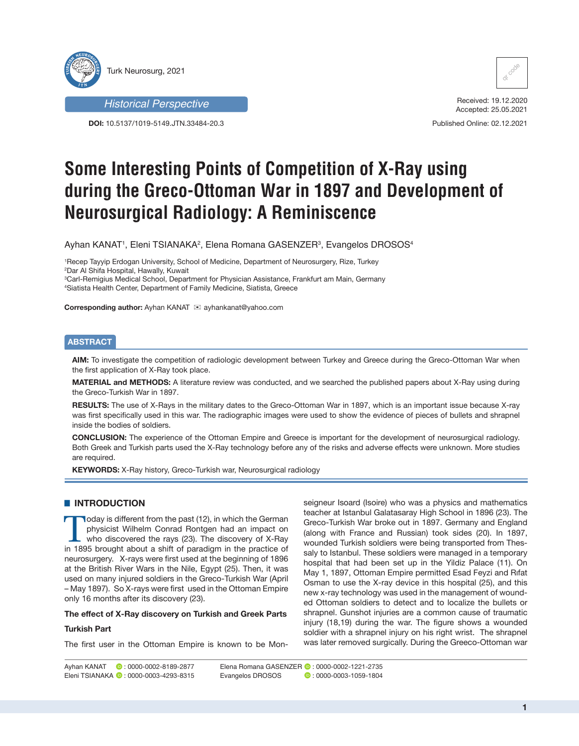



**DOI:** 10.5137/1019-5149.JTN.33484-20.3



Received: 19.12.2020 Accepted: 25.05.2021

Published Online: 02.12.2021

# **Some Interesting Points of Competition of X-Ray using during the Greco-Ottoman War in 1897 and Development of Neurosurgical Radiology: A Reminiscence**

Ayhan KANAT1, Eleni TSIANAKA², Elena Romana GASENZER3, Evangelos DROSOS4

1 Recep Tayyip Erdogan University, School of Medicine, Department of Neurosurgery, Rize, Turkey 2 Dar Al Shifa Hospital, Hawally, Kuwait

3 Carl-Remigius Medical School, Department for Physician Assistance, Frankfurt am Main, Germany 4 Siatista Health Center, Department of Family Medicine, Siatista, Greece

**Corresponding author:** Ayhan KANAT <sup>⊠</sup> ayhankanat@yahoo.com

### **ABSTRACT**

**AIM:** To investigate the competition of radiologic development between Turkey and Greece during the Greco-Ottoman War when the first application of X-Ray took place.

**MATERIAL and METHODS:** A literature review was conducted, and we searched the published papers about X-Ray using during the Greco-Turkish War in 1897.

**RESULTS:** The use of X-Rays in the military dates to the Greco-Ottoman War in 1897, which is an important issue because X-ray was first specifically used in this war. The radiographic images were used to show the evidence of pieces of bullets and shrapnel inside the bodies of soldiers.

**CONCLUSION:** The experience of the Ottoman Empire and Greece is important for the development of neurosurgical radiology. Both Greek and Turkish parts used the X-Ray technology before any of the risks and adverse effects were unknown. More studies are required.

**KEYWORDS:** X-Ray history, Greco-Turkish war, Neurosurgical radiology

### █ **INTRODUCTION**

Today is different from the past (12), in which the German<br>physicist Wilhelm Conrad Rontgen had an impact on<br>who discovered the rays (23). The discovery of X-Ray<br>in 1895 brought about a shift of paradigm in the practice of physicist Wilhelm Conrad Rontgen had an impact on in 1895 brought about a shift of paradigm in the practice of neurosurgery. X-rays were first used at the beginning of 1896 at the British River Wars in the Nile, Egypt (25). Then, it was used on many injured soldiers in the Greco-Turkish War (April – May 1897). So X-rays were first used in the Ottoman Empire only 16 months after its discovery (23).

### **The effect of X-Ray discovery on Turkish and Greek Parts**

#### **Turkish Part**

The first user in the Ottoman Empire is known to be Mon-

seigneur Isoard (Isoire) who was a physics and mathematics teacher at Istanbul Galatasaray High School in 1896 (23). The Greco-Turkish War broke out in 1897. Germany and England (along with France and Russian) took sides (20). In 1897, wounded Turkish soldiers were being transported from Thessaly to Istanbul. These soldiers were managed in a temporary hospital that had been set up in the Yildiz Palace (11). On May 1, 1897, Ottoman Empire permitted Esad Feyzi and Rıfat Osman to use the X-ray device in this hospital (25), and this new x-ray technology was used in the management of wounded Ottoman soldiers to detect and to localize the bullets or shrapnel. Gunshot injuries are a common cause of traumatic injury (18.19) during the war. The figure shows a wounded soldier with a shrapnel injury on his right wrist. The shrapnel was later removed surgically. During the Greeco-Ottoman war

Ayhan KANAT **:** 0000-0002-8189-2877 Eleni TSIANAKA **:** 0000-0003-4293-8315 Elena Romana GASENZER : 0000-0002-1221-2735 Evangelos DROSOS **: 0000-0003-1059-1804**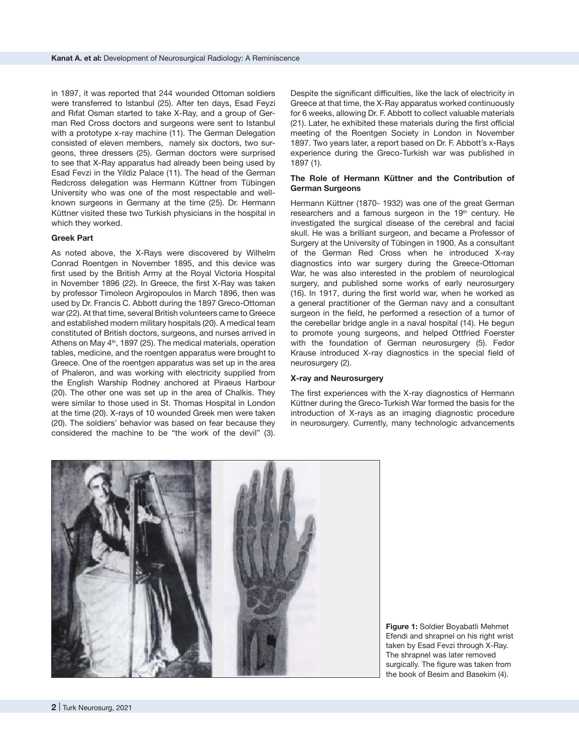in 1897, it was reported that 244 wounded Ottoman soldiers were transferred to Istanbul (25). After ten days, Esad Feyzi and Rıfat Osman started to take X-Ray, and a group of German Red Cross doctors and surgeons were sent to Istanbul with a prototype x-ray machine (11). The German Delegation consisted of eleven members, namely six doctors, two surgeons, three dressers (25). German doctors were surprised to see that X-Ray apparatus had already been being used by Esad Fevzi in the Yildiz Palace (11). The head of the German Redcross delegation was Hermann Küttner from Tübingen University who was one of the most respectable and wellknown surgeons in Germany at the time (25). Dr. Hermann Küttner visited these two Turkish physicians in the hospital in which they worked.

#### **Greek Part**

As noted above, the X-Rays were discovered by Wilhelm Conrad Roentgen in November 1895, and this device was first used by the British Army at the Royal Victoria Hospital in November 1896 (22). In Greece, the first X-Ray was taken by professor Timoleon Argiropoulos in March 1896, then was used by Dr. Francis C. Abbott during the 1897 Greco-Ottoman war (22). At that time, several British volunteers came to Greece and established modern military hospitals (20). A medical team constituted of British doctors, surgeons, and nurses arrived in Athens on May  $4<sup>th</sup>$ , 1897 (25). The medical materials, operation tables, medicine, and the roentgen apparatus were brought to Greece. One of the roentgen apparatus was set up in the area of Phaleron, and was working with electricity supplied from the English Warship Rodney anchored at Piraeus Harbour (20). The other one was set up in the area of Chalkis. They were similar to those used in St. Thomas Hospital in London at the time (20). X-rays of 10 wounded Greek men were taken (20). The soldiers' behavior was based on fear because they considered the machine to be "the work of the devil" (3).

Despite the significant difficulties, like the lack of electricity in Greece at that time, the X-Ray apparatus worked continuously for 6 weeks, allowing Dr. F. Abbott to collect valuable materials (21). Later, he exhibited these materials during the first official meeting of the Roentgen Society in London in November 1897. Two years later, a report based on Dr. F. Abbott's x-Rays experience during the Greco-Turkish war was published in 1897 (1).

#### **The Role of Hermann Küttner and the Contribution of German Surgeons**

Hermann Küttner (1870- 1932) was one of the great German researchers and a famous surgeon in the 19<sup>th</sup> century. He investigated the surgical disease of the cerebral and facial skull. He was a brilliant surgeon, and became a Professor of Surgery at the University of Tübingen in 1900. As a consultant of the German Red Cross when he introduced X-ray diagnostics into war surgery during the Greece-Ottoman War, he was also interested in the problem of neurological surgery, and published some works of early neurosurgery (16). In 1917, during the first world war, when he worked as a general practitioner of the German navy and a consultant surgeon in the field, he performed a resection of a tumor of the cerebellar bridge angle in a naval hospital (14). He begun to promote young surgeons, and helped Ottfried Foerster with the foundation of German neurosurgery (5). Fedor Krause introduced X-ray diagnostics in the special field of neurosurgery (2).

#### **X-ray and Neurosurgery**

The first experiences with the X-ray diagnostics of Hermann Küttner during the Greco-Turkish War formed the basis for the introduction of X-rays as an imaging diagnostic procedure in neurosurgery. Currently, many technologic advancements



**Figure 1:** Soldier Boyabatli Mehmet Efendi and shrapnel on his right wrist taken by Esad Fevzi through X-Ray. The shrapnel was later removed surgically. The figure was taken from the book of Besim and Basekim (4).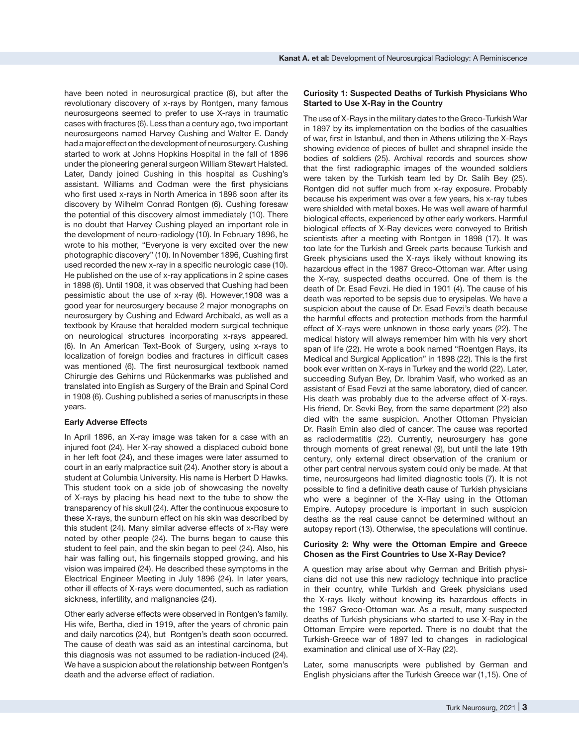have been noted in neurosurgical practice (8), but after the revolutionary discovery of x-rays by Rontgen, many famous neurosurgeons seemed to prefer to use X-rays in traumatic cases with fractures (6). Less than a century ago, two important neurosurgeons named Harvey Cushing and Walter E. Dandy had a major effect on the development of neurosurgery. Cushing started to work at Johns Hopkins Hospital in the fall of 1896 under the pioneering general surgeon William Stewart Halsted. Later, Dandy joined Cushing in this hospital as Cushing's assistant. Williams and Codman were the first physicians who first used x-rays in North America in 1896 soon after its discovery by Wilhelm Conrad Rontgen (6). Cushing foresaw the potential of this discovery almost immediately (10). There is no doubt that Harvey Cushing played an important role in the development of neuro-radiology (10). In February 1896, he wrote to his mother, "Everyone is very excited over the new photographic discovery" (10). In November 1896, Cushing first used recorded the new x-ray in a specific neurologic case (10). He published on the use of x-ray applications in 2 spine cases in 1898 (6). Until 1908, it was observed that Cushing had been pessimistic about the use of x-ray (6). However,1908 was a good year for neurosurgery because 2 major monographs on neurosurgery by Cushing and Edward Archibald, as well as a textbook by Krause that heralded modern surgical technique on neurological structures incorporating x-rays appeared. (6). In An American Text-Book of Surgery, using x-rays to localization of foreign bodies and fractures in difficult cases was mentioned (6). The first neurosurgical textbook named Chirurgie des Gehirns und Rückenmarks was published and translated into English as Surgery of the Brain and Spinal Cord in 1908 (6). Cushing published a series of manuscripts in these years.

#### **Early Adverse Effects**

In April 1896, an X-ray image was taken for a case with an injured foot (24). Her X-ray showed a displaced cuboid bone in her left foot (24), and these images were later assumed to court in an early malpractice suit (24). Another story is about a student at Columbia University. His name is Herbert D Hawks. This student took on a side job of showcasing the novelty of X-rays by placing his head next to the tube to show the transparency of his skull (24). After the continuous exposure to these X-rays, the sunburn effect on his skin was described by this student (24). Many similar adverse effects of x-Ray were noted by other people (24). The burns began to cause this student to feel pain, and the skin began to peel (24). Also, his hair was falling out, his fingernails stopped growing, and his vision was impaired (24). He described these symptoms in the Electrical Engineer Meeting in July 1896 (24). In later years, other ill effects of X-rays were documented, such as radiation sickness, infertility, and malignancies (24).

Other early adverse effects were observed in Rontgen's family. His wife, Bertha, died in 1919, after the years of chronic pain and daily narcotics (24), but Rontgen's death soon occurred. The cause of death was said as an intestinal carcinoma, but this diagnosis was not assumed to be radiation-induced (24). We have a suspicion about the relationship between Rontgen's death and the adverse effect of radiation.

#### **Curiosity 1: Suspected Deaths of Turkish Physicians Who Started to Use X-Ray in the Country**

The use of X-Rays in the military dates to the Greco-Turkish War in 1897 by its implementation on the bodies of the casualties of war, first in Istanbul, and then in Athens utilizing the X-Rays showing evidence of pieces of bullet and shrapnel inside the bodies of soldiers (25). Archival records and sources show that the first radiographic images of the wounded soldiers were taken by the Turkish team led by Dr. Salih Bey (25). Rontgen did not suffer much from x-ray exposure. Probably because his experiment was over a few years, his x-ray tubes were shielded with metal boxes. He was well aware of harmful biological effects, experienced by other early workers. Harmful biological effects of X-Ray devices were conveyed to British scientists after a meeting with Rontgen in 1898 (17). It was too late for the Turkish and Greek parts because Turkish and Greek physicians used the X-rays likely without knowing its hazardous effect in the 1987 Greco-Ottoman war. After using the X-ray, suspected deaths occurred. One of them is the death of Dr. Esad Fevzi. He died in 1901 (4). The cause of his death was reported to be sepsis due to erysipelas. We have a suspicion about the cause of Dr. Esad Fevzi's death because the harmful effects and protection methods from the harmful effect of X-rays were unknown in those early years (22). The medical history will always remember him with his very short span of life (22). He wrote a book named "Roentgen Rays, its Medical and Surgical Application" in 1898 (22). This is the first book ever written on X-rays in Turkey and the world (22). Later, succeeding Sufyan Bey, Dr. Ibrahim Vasif, who worked as an assistant of Esad Fevzi at the same laboratory, died of cancer. His death was probably due to the adverse effect of X-rays. His friend, Dr. Sevki Bey, from the same department (22) also died with the same suspicion. Another Ottoman Physician Dr. Rasih Emin also died of cancer. The cause was reported as radiodermatitis (22). Currently, neurosurgery has gone through moments of great renewal (9), but until the late 19th century, only external direct observation of the cranium or other part central nervous system could only be made. At that time, neurosurgeons had limited diagnostic tools (7). It is not possible to find a definitive death cause of Turkish physicians who were a beginner of the X-Ray using in the Ottoman Empire. Autopsy procedure is important in such suspicion deaths as the real cause cannot be determined without an autopsy report (13). Otherwise, the speculations will continue.

### **Curiosity 2: Why were the Ottoman Empire and Greece Chosen as the First Countries to Use X-Ray Device?**

A question may arise about why German and British physicians did not use this new radiology technique into practice in their country, while Turkish and Greek physicians used the X-rays likely without knowing its hazardous effects in the 1987 Greco-Ottoman war. As a result, many suspected deaths of Turkish physicians who started to use X-Ray in the Ottoman Empire were reported. There is no doubt that the Turkish-Greece war of 1897 led to changes in radiological examination and clinical use of X-Ray (22).

Later, some manuscripts were published by German and English physicians after the Turkish Greece war (1,15). One of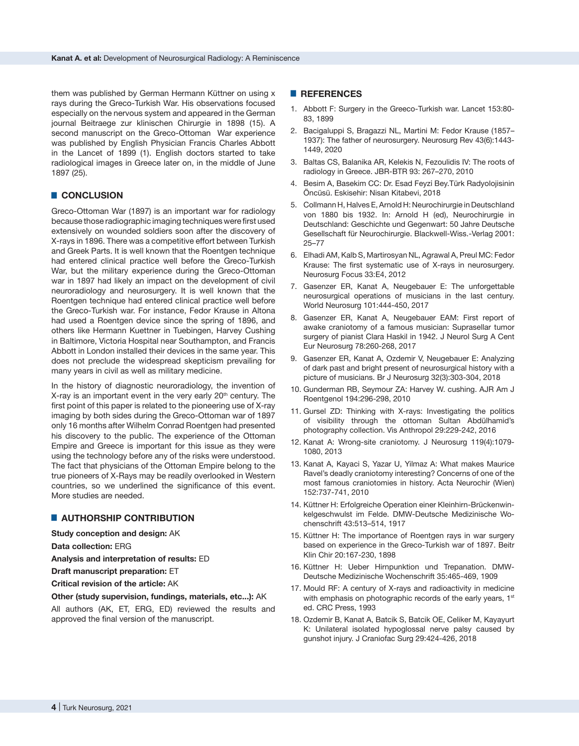them was published by German Hermann Küttner on using x rays during the Greco-Turkish War. His observations focused especially on the nervous system and appeared in the German journal Beitraege zur klinischen Chirurgie in 1898 (15). A second manuscript on the Greco-Ottoman War experience was published by English Physician Francis Charles Abbott in the Lancet of 1899 (1). English doctors started to take radiological images in Greece later on, in the middle of June 1897 (25).

## █ **CONCLUSION**

Greco-Ottoman War (1897) is an important war for radiology because those radiographic imaging techniques were first used extensively on wounded soldiers soon after the discovery of X-rays in 1896. There was a competitive effort between Turkish and Greek Parts. It is well known that the Roentgen technique had entered clinical practice well before the Greco-Turkish War, but the military experience during the Greco-Ottoman war in 1897 had likely an impact on the development of civil neuroradiology and neurosurgery. It is well known that the Roentgen technique had entered clinical practice well before the Greco-Turkish war. For instance, Fedor Krause in Altona had used a Roentgen device since the spring of 1896, and others like Hermann Kuettner in Tuebingen, Harvey Cushing in Baltimore, Victoria Hospital near Southampton, and Francis Abbott in London installed their devices in the same year. This does not preclude the widespread skepticism prevailing for many years in civil as well as military medicine.

In the history of diagnostic neuroradiology, the invention of X-ray is an important event in the very early  $20<sup>th</sup>$  century. The first point of this paper is related to the pioneering use of X-ray imaging by both sides during the Greco-Ottoman war of 1897 only 16 months after Wilhelm Conrad Roentgen had presented his discovery to the public. The experience of the Ottoman Empire and Greece is important for this issue as they were using the technology before any of the risks were understood. The fact that physicians of the Ottoman Empire belong to the true pioneers of X-Rays may be readily overlooked in Western countries, so we underlined the significance of this event. More studies are needed.

## █ **AUTHORSHIP CONTRIBUTION**

**Study conception and design:** AK

**Data collection:** ERG

**Analysis and interpretation of results:** ED

**Draft manuscript preparation:** ET

**Critical revision of the article:** AK

**Other (study supervision, fundings, materials, etc...):** AK

All authors (AK, ET, ERG, ED) reviewed the results and approved the final version of the manuscript.

### █ **REFERENCES**

- 1. Abbott F: Surgery in the Greeco-Turkish war. Lancet 153:80- 83, 1899
- 2. Bacigaluppi S, Bragazzi NL, Martini M: Fedor Krause (1857– 1937): The father of neurosurgery. Neurosurg Rev 43(6):1443- 1449, 2020
- 3. Baltas CS, Balanika AR, Kelekis N, Fezoulidis IV: The roots of radiology in Greece. JBR-BTR 93: 267–270, 2010
- 4. Besim A, Basekim CC: Dr. Esad Feyzi̇ Bey.Türk Radyolojisinin Öncüsü. Eskisehir: Nisan Kitabevi, 2018
- 5. Collmann H, Halves E, Arnold H: Neurochirurgie in Deutschland von 1880 bis 1932. In: Arnold H (ed), Neurochirurgie in Deutschland: Geschichte und Gegenwart: 50 Jahre Deutsche Gesellschaft für Neurochirurgie. Blackwell-Wiss.-Verlag 2001: 25–77
- 6. Elhadi AM, Kalb S, Martirosyan NL, Agrawal A, Preul MC: Fedor Krause: The first systematic use of X-rays in neurosurgery. Neurosurg Focus 33:E4, 2012
- 7. Gasenzer ER, Kanat A, Neugebauer E: The unforgettable neurosurgical operations of musicians in the last century. World Neurosurg 101:444-450, 2017
- 8. Gasenzer ER, Kanat A, Neugebauer EAM: First report of awake craniotomy of a famous musician: Suprasellar tumor surgery of pianist Clara Haskil in 1942. J Neurol Surg A Cent Eur Neurosurg 78:260-268, 2017
- 9. Gasenzer ER, Kanat A, Ozdemir V, Neugebauer E: Analyzing of dark past and bright present of neurosurgical history with a picture of musicians. Br J Neurosurg 32(3):303-304, 2018
- 10. Gunderman RB, Seymour ZA: Harvey W. cushing. AJR Am J Roentgenol 194:296-298, 2010
- 11. Gursel ZD: Thinking with X-rays: Investigating the politics of visibility through the ottoman Sultan Abdülhamid's photography collection. Vis Anthropol 29:229-242, 2016
- 12. Kanat A: Wrong-site craniotomy. J Neurosurg 119(4):1079- 1080, 2013
- 13. Kanat A, Kayaci S, Yazar U, Yilmaz A: What makes Maurice Ravel's deadly craniotomy interesting? Concerns of one of the most famous craniotomies in history. Acta Neurochir (Wien) 152:737-741, 2010
- 14. Küttner H: Erfolgreiche Operation einer Kleinhirn-Brückenwinkelgeschwulst im Felde. DMW-Deutsche Medizinische Wochenschrift 43:513–514, 1917
- 15. Küttner H: The importance of Roentgen rays in war surgery based on experience in the Greco-Turkish war of 1897. Beitr Klin Chir 20:167-230, 1898
- 16. Küttner H: Ueber Hirnpunktion und Trepanation. DMW-Deutsche Medizinische Wochenschrift 35:465-469, 1909
- 17. Mould RF: A century of X-rays and radioactivity in medicine with emphasis on photographic records of the early years, 1<sup>st</sup> ed. CRC Press, 1993
- 18. Ozdemir B, Kanat A, Batcik S, Batcik OE, Celiker M, Kayayurt K: Unilateral isolated hypoglossal nerve palsy caused by gunshot injury. J Craniofac Surg 29:424-426, 2018